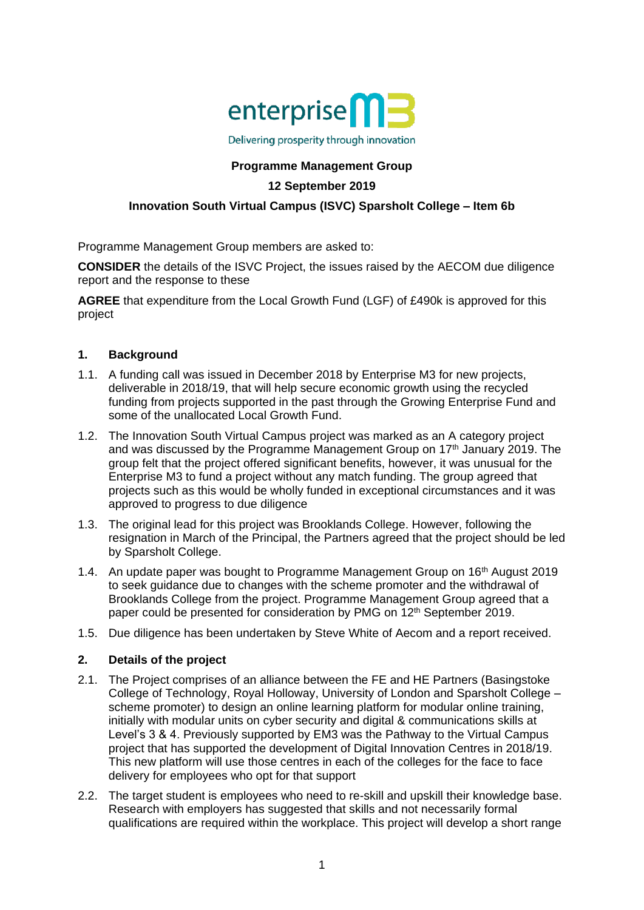

Delivering prosperity through innovation

# **Programme Management Group**

## **12 September 2019**

## **Innovation South Virtual Campus (ISVC) Sparsholt College – Item 6b**

Programme Management Group members are asked to:

**CONSIDER** the details of the ISVC Project, the issues raised by the AECOM due diligence report and the response to these

**AGREE** that expenditure from the Local Growth Fund (LGF) of £490k is approved for this project

#### **1. Background**

- 1.1. A funding call was issued in December 2018 by Enterprise M3 for new projects, deliverable in 2018/19, that will help secure economic growth using the recycled funding from projects supported in the past through the Growing Enterprise Fund and some of the unallocated Local Growth Fund.
- 1.2. The Innovation South Virtual Campus project was marked as an A category project and was discussed by the Programme Management Group on 17<sup>th</sup> January 2019. The group felt that the project offered significant benefits, however, it was unusual for the Enterprise M3 to fund a project without any match funding. The group agreed that projects such as this would be wholly funded in exceptional circumstances and it was approved to progress to due diligence
- 1.3. The original lead for this project was Brooklands College. However, following the resignation in March of the Principal, the Partners agreed that the project should be led by Sparsholt College.
- 1.4. An update paper was bought to Programme Management Group on 16<sup>th</sup> August 2019 to seek guidance due to changes with the scheme promoter and the withdrawal of Brooklands College from the project. Programme Management Group agreed that a paper could be presented for consideration by PMG on 12<sup>th</sup> September 2019.
- 1.5. Due diligence has been undertaken by Steve White of Aecom and a report received.

## **2. Details of the project**

- 2.1. The Project comprises of an alliance between the FE and HE Partners (Basingstoke College of Technology, Royal Holloway, University of London and Sparsholt College – scheme promoter) to design an online learning platform for modular online training, initially with modular units on cyber security and digital & communications skills at Level's 3 & 4. Previously supported by EM3 was the Pathway to the Virtual Campus project that has supported the development of Digital Innovation Centres in 2018/19. This new platform will use those centres in each of the colleges for the face to face delivery for employees who opt for that support
- 2.2. The target student is employees who need to re-skill and upskill their knowledge base. Research with employers has suggested that skills and not necessarily formal qualifications are required within the workplace. This project will develop a short range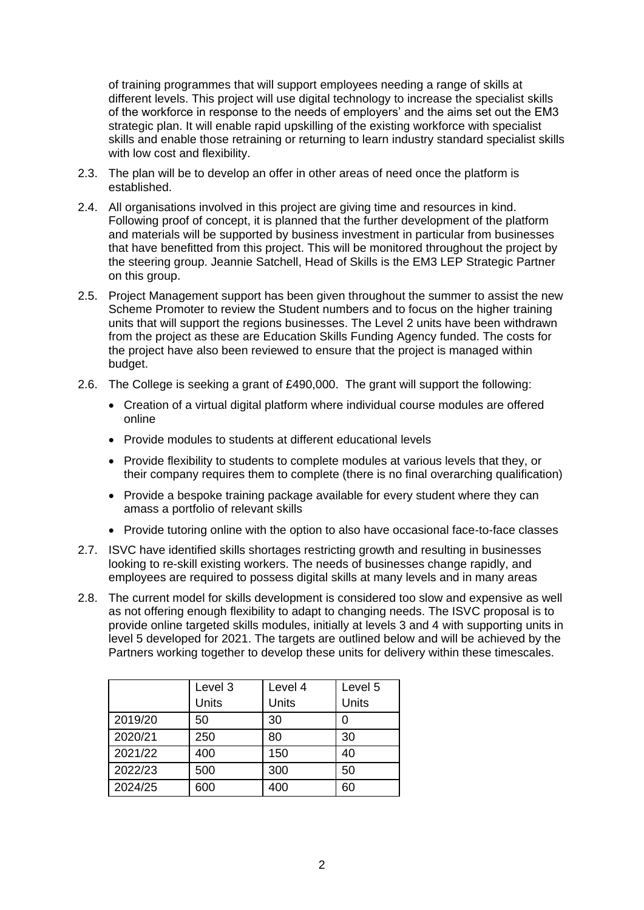of training programmes that will support employees needing a range of skills at different levels. This project will use digital technology to increase the specialist skills of the workforce in response to the needs of employers' and the aims set out the EM3 strategic plan. It will enable rapid upskilling of the existing workforce with specialist skills and enable those retraining or returning to learn industry standard specialist skills with low cost and flexibility.

- 2.3. The plan will be to develop an offer in other areas of need once the platform is established.
- 2.4. All organisations involved in this project are giving time and resources in kind. Following proof of concept, it is planned that the further development of the platform and materials will be supported by business investment in particular from businesses that have benefitted from this project. This will be monitored throughout the project by the steering group. Jeannie Satchell, Head of Skills is the EM3 LEP Strategic Partner on this group.
- 2.5. Project Management support has been given throughout the summer to assist the new Scheme Promoter to review the Student numbers and to focus on the higher training units that will support the regions businesses. The Level 2 units have been withdrawn from the project as these are Education Skills Funding Agency funded. The costs for the project have also been reviewed to ensure that the project is managed within budget.
- 2.6. The College is seeking a grant of £490,000. The grant will support the following:
	- Creation of a virtual digital platform where individual course modules are offered online
	- Provide modules to students at different educational levels
	- Provide flexibility to students to complete modules at various levels that they, or their company requires them to complete (there is no final overarching qualification)
	- Provide a bespoke training package available for every student where they can amass a portfolio of relevant skills
	- Provide tutoring online with the option to also have occasional face-to-face classes
- 2.7. ISVC have identified skills shortages restricting growth and resulting in businesses looking to re-skill existing workers. The needs of businesses change rapidly, and employees are required to possess digital skills at many levels and in many areas
- 2.8. The current model for skills development is considered too slow and expensive as well as not offering enough flexibility to adapt to changing needs. The ISVC proposal is to provide online targeted skills modules, initially at levels 3 and 4 with supporting units in level 5 developed for 2021. The targets are outlined below and will be achieved by the Partners working together to develop these units for delivery within these timescales.

|         | Level 3 | Level 4 | Level 5 |
|---------|---------|---------|---------|
|         | Units   | Units   | Units   |
| 2019/20 | 50      | 30      | ი       |
| 2020/21 | 250     | 80      | 30      |
| 2021/22 | 400     | 150     | 40      |
| 2022/23 | 500     | 300     | 50      |
| 2024/25 | 600     | 400     | 60      |